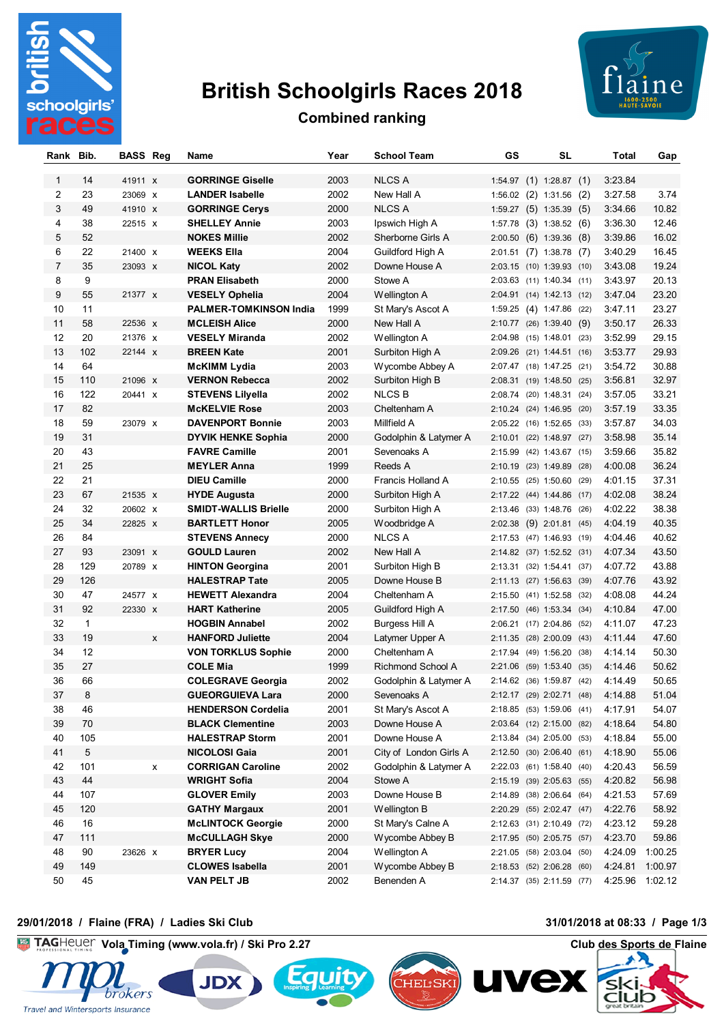

# **British Schoolgirls Races 2018**



# **Combined ranking**

| Rank Bib.    |                   | <b>BASS Reg</b> |   | Name                                        | Year         | <b>School Team</b>                    | GS | <b>SL</b>                                            | Total              | Gap             |
|--------------|-------------------|-----------------|---|---------------------------------------------|--------------|---------------------------------------|----|------------------------------------------------------|--------------------|-----------------|
|              |                   |                 |   |                                             |              |                                       |    |                                                      |                    |                 |
| $\mathbf{1}$ | 14                | 41911 x         |   | <b>GORRINGE Giselle</b>                     | 2003         | <b>NLCS A</b>                         |    | $1:54.97$ (1) $1:28.87$ (1)                          | 3:23.84            |                 |
| 2<br>3       | 23                | 23069 X         |   | <b>LANDER Isabelle</b>                      | 2002         | New Hall A                            |    | $1:56.02$ (2) $1:31.56$ (2)                          | 3:27.58            | 3.74            |
|              | 49                | 41910 X         |   | <b>GORRINGE Cerys</b>                       | 2000         | <b>NLCS A</b>                         |    | 1:59.27 (5) 1:35.39 (5)                              | 3:34.66            | 10.82           |
| 4            | 38<br>52          | 22515 X         |   | <b>SHELLEY Annie</b><br><b>NOKES Millie</b> | 2003<br>2002 | Ipswich High A                        |    | 1:57.78 (3) 1:38.52 (6)                              | 3:36.30            | 12.46<br>16.02  |
| 5<br>6       | 22                | 21400 X         |   | <b>WEEKS Ella</b>                           | 2004         | Sherborne Girls A<br>Guildford High A |    | $2:00.50$ (6) 1:39.36 (8)<br>2:01.51 (7) 1:38.78 (7) | 3:39.86<br>3:40.29 | 16.45           |
| 7            | 35                | 23093 x         |   | <b>NICOL Katy</b>                           | 2002         | Downe House A                         |    | 2:03.15 (10) 1:39.93 (10)                            | 3:43.08            | 19.24           |
| 8            | 9                 |                 |   | <b>PRAN Elisabeth</b>                       | 2000         | Stowe A                               |    | 2:03.63 (11) 1:40.34 (11)                            | 3:43.97            | 20.13           |
| 9            | 55                | 21377 x         |   | <b>VESELY Ophelia</b>                       | 2004         | Wellington A                          |    | 2:04.91 (14) 1:42.13 (12)                            | 3:47.04            | 23.20           |
| 10           | 11                |                 |   | <b>PALMER-TOMKINSON India</b>               | 1999         | St Mary's Ascot A                     |    | 1:59.25 (4) 1:47.86 (22)                             | 3:47.11            | 23.27           |
| 11           | 58                | 22536 X         |   | <b>MCLEISH Alice</b>                        | 2000         | New Hall A                            |    | $2:10.77$ (26) 1:39.40 (9)                           | 3:50.17            | 26.33           |
| 12           | 20                | 21376 X         |   | <b>VESELY Miranda</b>                       | 2002         | Wellington A                          |    | 2:04.98 (15) 1:48.01 (23)                            | 3:52.99            | 29.15           |
| 13           | 102               | 22144 X         |   | <b>BREEN Kate</b>                           | 2001         | Surbiton High A                       |    | 2:09.26 (21) 1:44.51 (16)                            | 3:53.77            | 29.93           |
| 14           | 64                |                 |   | <b>McKIMM Lydia</b>                         | 2003         | Wycombe Abbey A                       |    | 2:07.47 (18) 1:47.25 (21)                            | 3:54.72            | 30.88           |
| 15           | 110               | 21096 X         |   | <b>VERNON Rebecca</b>                       | 2002         | Surbiton High B                       |    | 2:08.31 (19) 1:48.50 (25)                            | 3:56.81            | 32.97           |
| 16           | 122               | 20441 X         |   | <b>STEVENS Lilyella</b>                     | 2002         | <b>NLCSB</b>                          |    | 2:08.74 (20) 1:48.31 (24)                            | 3:57.05            | 33.21           |
| 17           | 82                |                 |   | <b>McKELVIE Rose</b>                        | 2003         | Cheltenham A                          |    | 2:10.24 (24) 1:46.95 (20)                            | 3:57.19            | 33.35           |
| 18           | 59                | 23079 X         |   | <b>DAVENPORT Bonnie</b>                     | 2003         | Millfield A                           |    | 2:05.22 (16) 1:52.65 (33)                            | 3:57.87            | 34.03           |
| 19           | 31                |                 |   | <b>DYVIK HENKE Sophia</b>                   | 2000         | Godolphin & Latymer A                 |    | 2:10.01 (22) 1:48.97 (27)                            | 3:58.98            | 35.14           |
| 20           | 43                |                 |   | <b>FAVRE Camille</b>                        | 2001         | Sevenoaks A                           |    | 2:15.99 (42) 1:43.67 (15)                            | 3:59.66            | 35.82           |
| 21           | 25                |                 |   | <b>MEYLER Anna</b>                          | 1999         | Reeds A                               |    | 2:10.19 (23) 1:49.89 (28)                            | 4:00.08            | 36.24           |
| 22           | 21                |                 |   | <b>DIEU Camille</b>                         | 2000         | Francis Holland A                     |    | 2:10.55 (25) 1:50.60 (29)                            | 4:01.15            | 37.31           |
| 23           | 67                | 21535 X         |   | <b>HYDE Augusta</b>                         | 2000         | Surbiton High A                       |    | 2:17.22 (44) 1:44.86 (17)                            | 4:02.08            | 38.24           |
| 24           | 32                | 20602 X         |   | <b>SMIDT-WALLIS Brielle</b>                 | 2000         | Surbiton High A                       |    | 2:13.46 (33) 1:48.76 (26)                            | 4:02.22            | 38.38           |
| 25           | 34                | 22825 x         |   | <b>BARTLETT Honor</b>                       | 2005         | Woodbridge A                          |    | 2:02.38 (9) 2:01.81 (45)                             | 4:04.19            | 40.35           |
| 26           | 84                |                 |   | <b>STEVENS Annecy</b>                       | 2000         | <b>NLCS A</b>                         |    | 2:17.53 (47) 1:46.93 (19)                            | 4:04.46            | 40.62           |
| 27           | 93                | 23091 x         |   | <b>GOULD Lauren</b>                         | 2002         | New Hall A                            |    | 2:14.82 (37) 1:52.52 (31)                            | 4:07.34            | 43.50           |
| 28           | 129               | 20789 X         |   | <b>HINTON Georgina</b>                      | 2001         | Surbiton High B                       |    | 2:13.31 (32) 1:54.41 (37)                            | 4:07.72            | 43.88           |
| 29           | 126               |                 |   | <b>HALESTRAP Tate</b>                       | 2005         | Downe House B                         |    | 2:11.13 (27) 1:56.63 (39)                            | 4:07.76            | 43.92           |
| 30           | 47                | 24577 x         |   | <b>HEWETT Alexandra</b>                     | 2004         | Cheltenham A                          |    | 2:15.50 (41) 1:52.58 (32)                            | 4:08.08            | 44.24           |
| 31           | 92                | 22330 X         |   | <b>HART Katherine</b>                       | 2005         | Guildford High A                      |    | 2:17.50 (46) 1:53.34 (34)                            | 4:10.84            | 47.00           |
| 32           | $\mathbf{1}$      |                 |   | <b>HOGBIN Annabel</b>                       | 2002         | Burgess Hill A                        |    | 2:06.21 (17) 2:04.86 (52)                            | 4:11.07            | 47.23           |
| 33           | 19                |                 | X | <b>HANFORD Juliette</b>                     | 2004         | Latymer Upper A                       |    | 2:11.35 (28) 2:00.09 (43)                            | 4:11.44            | 47.60           |
| 34           | $12 \overline{ }$ |                 |   | <b>VON TORKLUS Sophie</b>                   | 2000         | Cheltenham A                          |    | 2:17.94 (49) 1:56.20 (38)                            | 4:14.14            | 50.30           |
| 35           | 27                |                 |   | <b>COLE Mia</b>                             | 1999         | <b>Richmond School A</b>              |    | 2:21.06 (59) 1:53.40 (35)                            | 4:14.46            | 50.62           |
| 36           | 66                |                 |   | <b>COLEGRAVE Georgia</b>                    | 2002         | Godolphin & Latymer A                 |    | 2:14.62 (36) 1:59.87 (42)                            | 4:14.49            | 50.65           |
| 37           | 8                 |                 |   | <b>GUEORGUIEVA Lara</b>                     | 2000         | Sevenoaks A                           |    | 2:12.17 (29) 2:02.71 (48)                            | 4:14.88            | 51.04           |
| 38           | 46                |                 |   | <b>HENDERSON Cordelia</b>                   | 2001         | St Mary's Ascot A                     |    | 2:18.85 (53) 1:59.06 (41)                            | 4:17.91            | 54.07           |
| 39           | 70                |                 |   | <b>BLACK Clementine</b>                     | 2003         | Downe House A                         |    | 2:03.64 (12) 2:15.00 (82)                            | 4:18.64            | 54.80           |
| 40           | 105               |                 |   | <b>HALESTRAP Storm</b>                      | 2001         | Downe House A                         |    | 2:13.84 (34) 2:05.00 (53)                            | 4:18.84            | 55.00           |
| 41           | 5                 |                 |   | <b>NICOLOSI Gaia</b>                        | 2001         | City of London Girls A                |    | 2:12.50 (30) 2:06.40 (61)                            | 4:18.90            | 55.06           |
| 42           | 101               |                 | x | <b>CORRIGAN Caroline</b>                    | 2002         | Godolphin & Latymer A                 |    | 2:22.03 (61) 1:58.40 (40)                            | 4:20.43            | 56.59           |
| 43           | 44                |                 |   | <b>WRIGHT Sofia</b>                         | 2004         | Stowe A                               |    | 2:15.19 (39) 2:05.63 (55)                            | 4:20.82            | 56.98           |
| 44           | 107               |                 |   | <b>GLOVER Emily</b>                         | 2003         | Downe House B                         |    | 2:14.89 (38) 2:06.64 (64)                            | 4:21.53            | 57.69           |
| 45           | 120               |                 |   | <b>GATHY Margaux</b>                        | 2001         | Wellington B                          |    | 2:20.29 (55) 2:02.47 (47)                            | 4:22.76            | 58.92           |
| 46           | 16                |                 |   | <b>McLINTOCK Georgie</b>                    | 2000         | St Mary's Calne A                     |    | 2:12.63 (31) 2:10.49 (72)                            | 4:23.12            | 59.28           |
| 47           | 111               |                 |   | <b>McCULLAGH Skye</b>                       | 2000         | Wycombe Abbey B                       |    | 2:17.95 (50) 2:05.75 (57)                            | 4:23.70            | 59.86           |
| 48           | 90                | 23626 x         |   | <b>BRYER Lucy</b>                           | 2004         | Wellington A                          |    | 2:21.05 (58) 2:03.04 (50)                            | 4:24.09            | 1:00.25         |
| 49           | 149               |                 |   | <b>CLOWES Isabella</b>                      | 2001         | Wycombe Abbey B                       |    | 2:18.53 (52) 2:06.28 (60)                            | 4:24.81            | 1:00.97         |
| 50           | 45                |                 |   | <b>VAN PELT JB</b>                          | 2002         | Benenden A                            |    | 2:14.37 (35) 2:11.59 (77)                            |                    | 4:25.96 1:02.12 |

#### **29/01/2018 / Flaine (FRA) / Ladies Ski Club 31/01/2018 at 08:33 / Page 1/3**









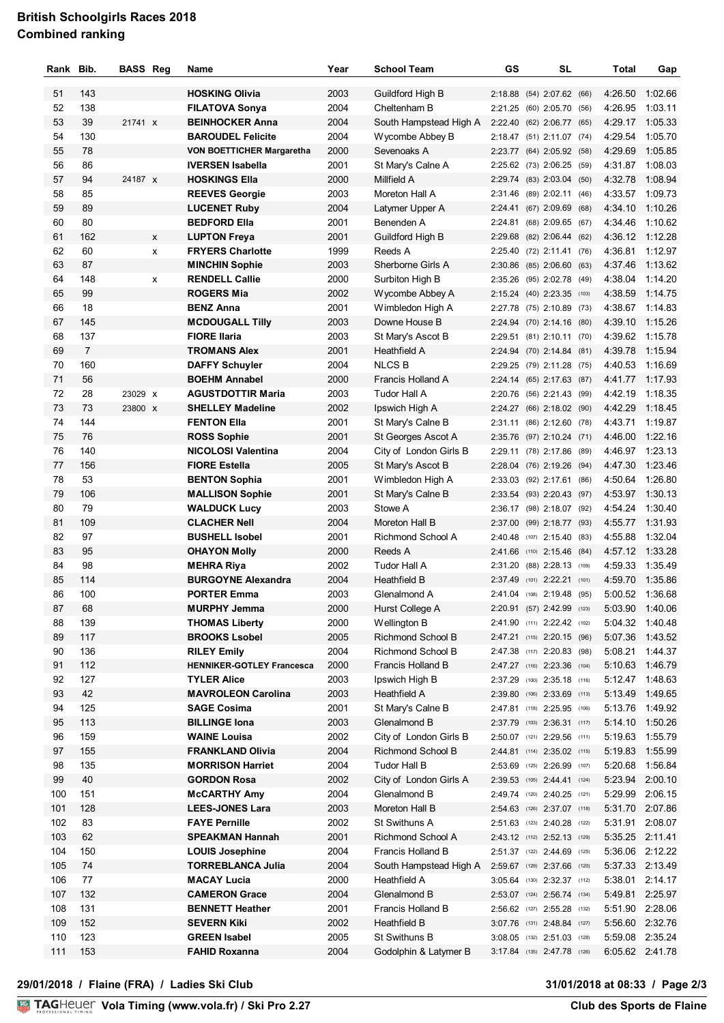### **British Schoolgirls Races 2018 Combined ranking**

| Rank Bib. |                | <b>BASS Reg</b> |   | Name                             | Year | <b>School Team</b>       | GS | SL                          | Total   | Gap             |
|-----------|----------------|-----------------|---|----------------------------------|------|--------------------------|----|-----------------------------|---------|-----------------|
| 51        | 143            |                 |   | <b>HOSKING Olivia</b>            | 2003 | Guildford High B         |    | 2:18.88 (54) 2:07.62 (66)   |         | 4:26.50 1:02.66 |
| 52        | 138            |                 |   | <b>FILATOVA Sonya</b>            | 2004 | Cheltenham B             |    | 2:21.25 (60) 2:05.70 (56)   | 4:26.95 | 1:03.11         |
| 53        | 39             | 21741 X         |   | <b>BEINHOCKER Anna</b>           | 2004 | South Hampstead High A   |    | 2:22.40 (62) 2:06.77 (65)   | 4:29.17 | 1:05.33         |
| 54        | 130            |                 |   | <b>BAROUDEL Felicite</b>         | 2004 | Wycombe Abbey B          |    | 2:18.47 (51) 2:11.07 (74)   | 4:29.54 | 1:05.70         |
| 55        | 78             |                 |   | <b>VON BOETTICHER Margaretha</b> | 2000 | Sevenoaks A              |    | 2:23.77 (64) 2:05.92 (58)   | 4:29.69 | 1:05.85         |
| 56        | 86             |                 |   | <b>IVERSEN Isabella</b>          | 2001 | St Mary's Calne A        |    | 2:25.62 (73) 2:06.25 (59)   | 4:31.87 | 1:08.03         |
| 57        | 94             | 24187 x         |   | <b>HOSKINGS EIIa</b>             | 2000 | Millfield A              |    | 2:29.74 (83) 2:03.04 (50)   | 4:32.78 | 1:08.94         |
| 58        | 85             |                 |   | <b>REEVES Georgie</b>            | 2003 | Moreton Hall A           |    |                             |         | 4:33.57 1:09.73 |
| 59        | 89             |                 |   |                                  | 2004 |                          |    | 2:31.46 (89) 2:02.11 (46)   | 4:34.10 | 1:10.26         |
| 60        | 80             |                 |   | <b>LUCENET Ruby</b>              |      | Latymer Upper A          |    | 2:24.41 (67) 2:09.69 (68)   |         |                 |
|           |                |                 |   | <b>BEDFORD Ella</b>              | 2001 | Benenden A               |    | 2:24.81 (68) 2:09.65 (67)   | 4:34.46 | 1:10.62         |
| 61        | 162            |                 | X | <b>LUPTON Freya</b>              | 2001 | Guildford High B         |    | 2:29.68 (82) 2:06.44 (62)   |         | 4:36.12 1:12.28 |
| 62        | 60             |                 | X | <b>FRYERS Charlotte</b>          | 1999 | Reeds A                  |    | 2:25.40 (72) 2:11.41 (76)   | 4:36.81 | 1:12.97         |
| 63        | 87             |                 |   | <b>MINCHIN Sophie</b>            | 2003 | Sherborne Girls A        |    | 2:30.86 (85) 2:06.60 (63)   | 4:37.46 | 1:13.62         |
| 64        | 148            |                 | x | <b>RENDELL Callie</b>            | 2000 | Surbiton High B          |    | 2:35.26 (95) 2:02.78 (49)   |         | 4:38.04 1:14.20 |
| 65        | 99             |                 |   | <b>ROGERS Mia</b>                | 2002 | Wycombe Abbey A          |    | 2:15.24 (40) 2:23.35 (103)  | 4:38.59 | 1:14.75         |
| 66        | 18             |                 |   | <b>BENZ Anna</b>                 | 2001 | Wimbledon High A         |    | 2:27.78 (75) 2:10.89 (73)   |         | 4:38.67 1:14.83 |
| 67        | 145            |                 |   | <b>MCDOUGALL Tilly</b>           | 2003 | Downe House B            |    | 2:24.94 (70) 2:14.16 (80)   | 4:39.10 | 1:15.26         |
| 68        | 137            |                 |   | <b>FIORE Ilaria</b>              | 2003 | St Mary's Ascot B        |    | 2:29.51 (81) 2:10.11 (70)   |         | 4:39.62 1:15.78 |
| 69        | $\overline{7}$ |                 |   | <b>TROMANS Alex</b>              | 2001 | Heathfield A             |    | 2:24.94 (70) 2:14.84 (81)   | 4:39.78 | 1:15.94         |
| 70        | 160            |                 |   | <b>DAFFY Schuyler</b>            | 2004 | <b>NLCSB</b>             |    | 2:29.25 (79) 2:11.28 (75)   | 4:40.53 | 1:16.69         |
| 71        | 56             |                 |   | <b>BOEHM Annabel</b>             | 2000 | Francis Holland A        |    | 2:24.14 (65) 2:17.63 (87)   |         | 4:41.77 1:17.93 |
| 72        | 28             | 23029 X         |   | <b>AGUSTDOTTIR Maria</b>         | 2003 | Tudor Hall A             |    | 2:20.76 (56) 2:21.43 (99)   | 4:42.19 | 1:18.35         |
| 73        | 73             | 23800 x         |   | <b>SHELLEY Madeline</b>          | 2002 | Ipswich High A           |    | 2:24.27 (66) 2:18.02 (90)   | 4:42.29 | 1:18.45         |
| 74        | 144            |                 |   | <b>FENTON Ella</b>               | 2001 | St Mary's Calne B        |    | 2:31.11 (86) 2:12.60 (78)   | 4:43.71 | 1:19.87         |
| 75        | 76             |                 |   | <b>ROSS Sophie</b>               | 2001 | St Georges Ascot A       |    | 2:35.76 (97) 2:10.24 (71)   | 4:46.00 | 1:22.16         |
| 76        | 140            |                 |   | <b>NICOLOSI Valentina</b>        | 2004 | City of London Girls B   |    | 2:29.11 (78) 2:17.86 (89)   |         | 4:46.97 1:23.13 |
| 77        | 156            |                 |   | <b>FIORE Estella</b>             | 2005 | St Mary's Ascot B        |    | 2:28.04 (76) 2:19.26 (94)   | 4:47.30 | 1:23.46         |
| 78        | 53             |                 |   | <b>BENTON Sophia</b>             | 2001 | Wimbledon High A         |    | 2:33.03 (92) 2:17.61 (86)   |         | 4:50.64 1:26.80 |
| 79        | 106            |                 |   | <b>MALLISON Sophie</b>           | 2001 | St Mary's Calne B        |    | 2:33.54 (93) 2:20.43 (97)   |         | 4:53.97 1:30.13 |
| 80        | 79             |                 |   | <b>WALDUCK Lucy</b>              | 2003 | Stowe A                  |    | 2:36.17 (98) 2:18.07 (92)   | 4:54.24 | 1:30.40         |
| 81        | 109            |                 |   | <b>CLACHER Nell</b>              | 2004 | Moreton Hall B           |    | 2:37.00 (99) 2:18.77 (93)   |         | 4:55.77 1:31.93 |
| 82        | 97             |                 |   | <b>BUSHELL Isobel</b>            | 2001 | <b>Richmond School A</b> |    | 2:40.48 (107) 2:15.40 (83)  | 4:55.88 | 1:32.04         |
| 83        | 95             |                 |   | <b>OHAYON Molly</b>              | 2000 | Reeds A                  |    | 2:41.66 (110) 2:15.46 (84)  |         | 4:57.12 1:33.28 |
| 84        | 98             |                 |   | <b>MEHRA Riva</b>                | 2002 | Tudor Hall A             |    | 2:31.20 (88) 2:28.13 (109)  | 4:59.33 | 1:35.49         |
| 85        | 114            |                 |   | <b>BURGOYNE Alexandra</b>        | 2004 | Heathfield B             |    | 2:37.49 (101) 2:22.21 (101) | 4:59.70 | 1:35.86         |
| 86        | 100            |                 |   | <b>PORTER Emma</b>               | 2003 | Glenalmond A             |    | 2:41.04 (108) 2:19.48 (95)  | 5:00.52 | 1:36.68         |
| 87        | 68             |                 |   | <b>MURPHY Jemma</b>              | 2000 | Hurst College A          |    | 2:20.91 (57) 2:42.99 (123)  |         | 5:03.90 1:40.06 |
| 88        | 139            |                 |   | <b>THOMAS Liberty</b>            | 2000 | Wellington B             |    | 2:41.90 (111) 2:22.42 (102) |         | 5:04.32 1:40.48 |
| 89        | 117            |                 |   | <b>BROOKS Lsobel</b>             | 2005 | Richmond School B        |    | 2:47.21 (115) 2:20.15 (96)  |         | 5:07.36 1:43.52 |
| 90        | 136            |                 |   | <b>RILEY Emily</b>               | 2004 | Richmond School B        |    | 2:47.38 (117) 2:20.83 (98)  |         | 5:08.21 1:44.37 |
| 91        | 112            |                 |   | <b>HENNIKER-GOTLEY Francesca</b> | 2000 | Francis Holland B        |    | 2:47.27 (116) 2:23.36 (104) |         | 5:10.63 1:46.79 |
| 92        | 127            |                 |   | <b>TYLER Alice</b>               | 2003 | Ipswich High B           |    | 2:37.29 (100) 2:35.18 (116) |         | 5:12.47 1:48.63 |
| 93        | 42             |                 |   | <b>MAVROLEON Carolina</b>        | 2003 | Heathfield A             |    | 2:39.80 (106) 2:33.69 (113) |         | 5:13.49 1:49.65 |
| 94        | 125            |                 |   | <b>SAGE Cosima</b>               | 2001 | St Mary's Calne B        |    | 2:47.81 (118) 2:25.95 (106) |         | 5:13.76 1:49.92 |
| 95        | 113            |                 |   | <b>BILLINGE Iona</b>             | 2003 | Glenalmond B             |    | 2:37.79 (103) 2:36.31 (117) |         | 5:14.10 1:50.26 |
| 96        | 159            |                 |   | <b>WAINE Louisa</b>              | 2002 | City of London Girls B   |    | 2:50.07 (121) 2:29.56 (111) |         | 5:19.63 1:55.79 |
| 97        | 155            |                 |   | <b>FRANKLAND Olivia</b>          | 2004 | Richmond School B        |    | 2:44.81 (114) 2:35.02 (115) |         | 5:19.83 1:55.99 |
| 98        | 135            |                 |   | <b>MORRISON Harriet</b>          | 2004 | Tudor Hall B             |    | 2:53.69 (125) 2:26.99 (107) | 5:20.68 | 1:56.84         |
| 99        | 40             |                 |   | <b>GORDON Rosa</b>               | 2002 |                          |    |                             |         |                 |
|           |                |                 |   |                                  |      | City of London Girls A   |    | 2:39.53 (105) 2:44.41 (124) |         | 5:23.94 2:00.10 |
| 100       | 151            |                 |   | <b>MCCARTHY Amy</b>              | 2004 | Glenalmond B             |    | 2:49.74 (120) 2:40.25 (121) |         | 5:29.99 2:06.15 |
| 101       | 128            |                 |   | <b>LEES-JONES Lara</b>           | 2003 | Moreton Hall B           |    | 2:54.63 (126) 2:37.07 (118) |         | 5:31.70 2:07.86 |
| 102       | 83             |                 |   | <b>FAYE Pernille</b>             | 2002 | St Swithuns A            |    | 2:51.63 (123) 2:40.28 (122) | 5:31.91 | 2:08.07         |
| 103       | 62             |                 |   | <b>SPEAKMAN Hannah</b>           | 2001 | Richmond School A        |    | 2:43.12 (112) 2:52.13 (129) |         | 5:35.25 2:11.41 |
| 104       | 150            |                 |   | <b>LOUIS Josephine</b>           | 2004 | Francis Holland B        |    | 2:51.37 (122) 2:44.69 (125) |         | 5:36.06 2:12.22 |
| 105       | 74             |                 |   | <b>TORREBLANCA Julia</b>         | 2004 | South Hampstead High A   |    | 2:59.67 (129) 2:37.66 (120) |         | 5:37.33 2:13.49 |
| 106       | 77             |                 |   | <b>MACAY Lucia</b>               | 2000 | Heathfield A             |    | 3:05.64 (130) 2:32.37 (112) | 5:38.01 | 2:14.17         |
| 107       | 132            |                 |   | <b>CAMERON Grace</b>             | 2004 | Glenalmond B             |    | 2:53.07 (124) 2:56.74 (134) |         | 5:49.81 2:25.97 |
| 108       | 131            |                 |   | <b>BENNETT Heather</b>           | 2001 | Francis Holland B        |    | 2:56.62 (127) 2:55.28 (132) |         | 5:51.90 2:28.06 |
| 109       | 152            |                 |   | <b>SEVERN Kiki</b>               | 2002 | Heathfield B             |    | 3:07.76 (131) 2:48.84 (127) |         | 5:56.60 2:32.76 |
| 110       | 123            |                 |   | <b>GREEN Isabel</b>              | 2005 | St Swithuns B            |    | 3:08.05 (132) 2:51.03 (128) |         | 5:59.08 2:35.24 |
| 111       | 153            |                 |   | <b>FAHID Roxanna</b>             | 2004 | Godolphin & Latymer B    |    | 3:17.84 (135) 2:47.78 (126) |         | 6:05.62 2:41.78 |